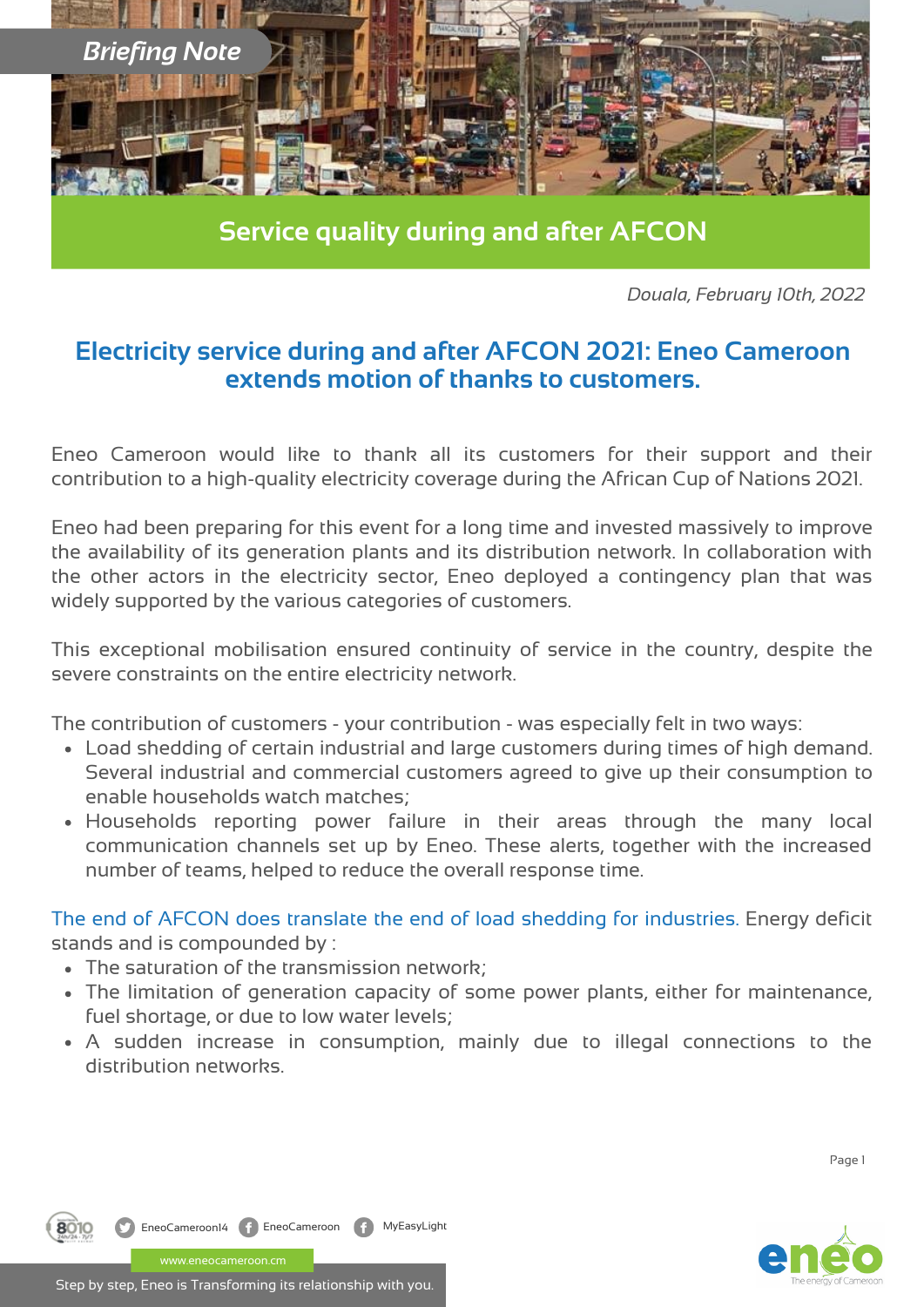

**Service quality during and after AFCON**

*Douala, February 10th, 2022*

## **Electricity service during and after AFCON 2021: Eneo Cameroon extends motion of thanks to customers.**

Eneo Cameroon would like to thank all its customers for their support and their contribution to a high-quality electricity coverage during the African Cup of Nations 2021.

Eneo had been preparing for this event for a long time and invested massively to improve the availability of its generation plants and its distribution network. In collaboration with the other actors in the electricity sector, Eneo deployed a contingency plan that was widely supported by the various categories of customers.

This exceptional mobilisation ensured continuity of service in the country, despite the severe constraints on the entire electricity network.

The contribution of customers - your contribution - was especially felt in two ways:

- Load shedding of certain industrial and large customers during times of high demand. Several industrial and commercial customers agreed to give up their consumption to enable households watch matches;
- Households reporting power failure in their areas through the many local communication channels set up by Eneo. These alerts, together with the increased number of teams, helped to reduce the overall response time.

The end of AFCON does translate the end of load shedding for industries. Energy deficit stands and is compounded by :

- The saturation of the transmission network;
- The limitation of generation capacity of some power plants, either for maintenance, fuel shortage, or due to low water levels;
- A sudden increase in consumption, mainly due to illegal connections to the distribution networks.

Page 1